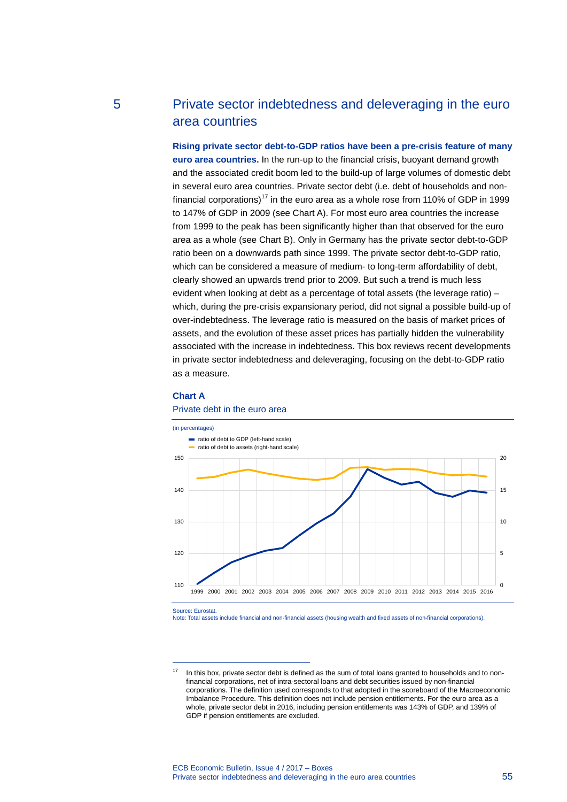# 5 Private sector indebtedness and deleveraging in the euro area countries

**Rising private sector debt-to-GDP ratios have been a pre-crisis feature of many euro area countries.** In the run-up to the financial crisis, buoyant demand growth and the associated credit boom led to the build-up of large volumes of domestic debt in several euro area countries. Private sector debt (i.e. debt of households and non-financial corporations)<sup>[17](#page-0-0)</sup> in the euro area as a whole rose from 110% of GDP in 1999 to 147% of GDP in 2009 (see Chart A). For most euro area countries the increase from 1999 to the peak has been significantly higher than that observed for the euro area as a whole (see Chart B). Only in Germany has the private sector debt-to-GDP ratio been on a downwards path since 1999. The private sector debt-to-GDP ratio, which can be considered a measure of medium- to long-term affordability of debt, clearly showed an upwards trend prior to 2009. But such a trend is much less evident when looking at debt as a percentage of total assets (the leverage ratio) – which, during the pre-crisis expansionary period, did not signal a possible build-up of over-indebtedness. The leverage ratio is measured on the basis of market prices of assets, and the evolution of these asset prices has partially hidden the vulnerability associated with the increase in indebtedness. This box reviews recent developments in private sector indebtedness and deleveraging, focusing on the debt-to-GDP ratio as a measure.

## **Chart A**



#### Private debt in the euro area

Source: Eurostat.

<span id="page-0-0"></span>-

Note: Total assets include financial and non-financial assets (housing wealth and fixed assets of non-financial corporations).

In this box, private sector debt is defined as the sum of total loans granted to households and to nonfinancial corporations, net of intra-sectoral loans and debt securities issued by non-financial corporations. The definition used corresponds to that adopted in the scoreboard of the Macroeconomic Imbalance Procedure. This definition does not include pension entitlements. For the euro area as a whole, private sector debt in 2016, including pension entitlements was 143% of GDP, and 139% of GDP if pension entitlements are excluded.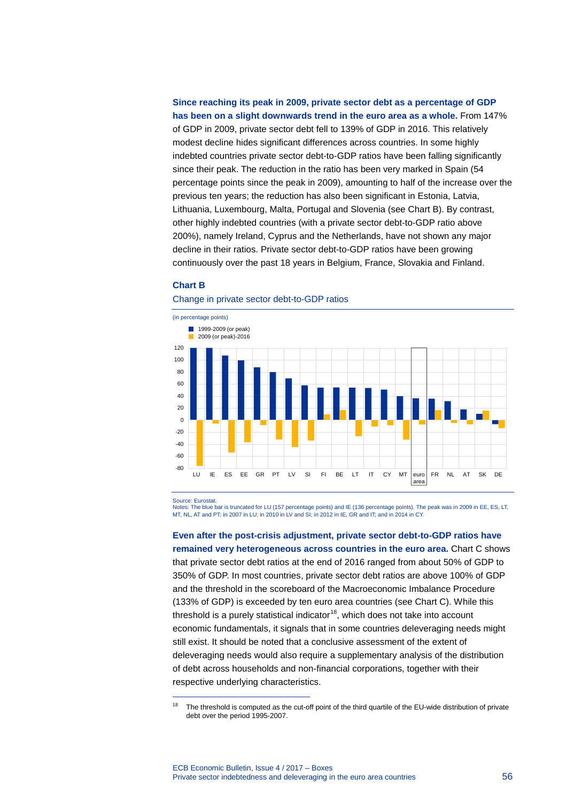**Since reaching its peak in 2009, private sector debt as a percentage of GDP has been on a slight downwards trend in the euro area as a whole.** From 147% of GDP in 2009, private sector debt fell to 139% of GDP in 2016. This relatively modest decline hides significant differences across countries. In some highly indebted countries private sector debt-to-GDP ratios have been falling significantly since their peak. The reduction in the ratio has been very marked in Spain (54 percentage points since the peak in 2009), amounting to half of the increase over the previous ten years; the reduction has also been significant in Estonia, Latvia, Lithuania, Luxembourg, Malta, Portugal and Slovenia (see Chart B). By contrast, other highly indebted countries (with a private sector debt-to-GDP ratio above 200%), namely Ireland, Cyprus and the Netherlands, have not shown any major decline in their ratios. Private sector debt-to-GDP ratios have been growing continuously over the past 18 years in Belgium, France, Slovakia and Finland.

### **Chart B**



Change in private sector debt-to-GDP ratios

Source: Eurostat.

<span id="page-1-0"></span>-

Notes: The blue bar is truncated for LU (157 percentage points) and IE (136 percentage points). The peak was in 2009 in EE, ES, LT, MT, NL, AT and PT; in 2007 in LU; in 2010 in LV and SI; in 2012 in IE, GR and IT; and in 2014 in CY.

**Even after the post-crisis adjustment, private sector debt-to-GDP ratios have remained very heterogeneous across countries in the euro area.** Chart C shows that private sector debt ratios at the end of 2016 ranged from about 50% of GDP to 350% of GDP. In most countries, private sector debt ratios are above 100% of GDP and the threshold in the scoreboard of the Macroeconomic Imbalance Procedure (133% of GDP) is exceeded by ten euro area countries (see Chart C). While this threshold is a purely statistical indicator $18$ , which does not take into account economic fundamentals, it signals that in some countries deleveraging needs might still exist. It should be noted that a conclusive assessment of the extent of deleveraging needs would also require a supplementary analysis of the distribution of debt across households and non-financial corporations, together with their respective underlying characteristics.

The threshold is computed as the cut-off point of the third quartile of the EU-wide distribution of private debt over the period 1995-2007.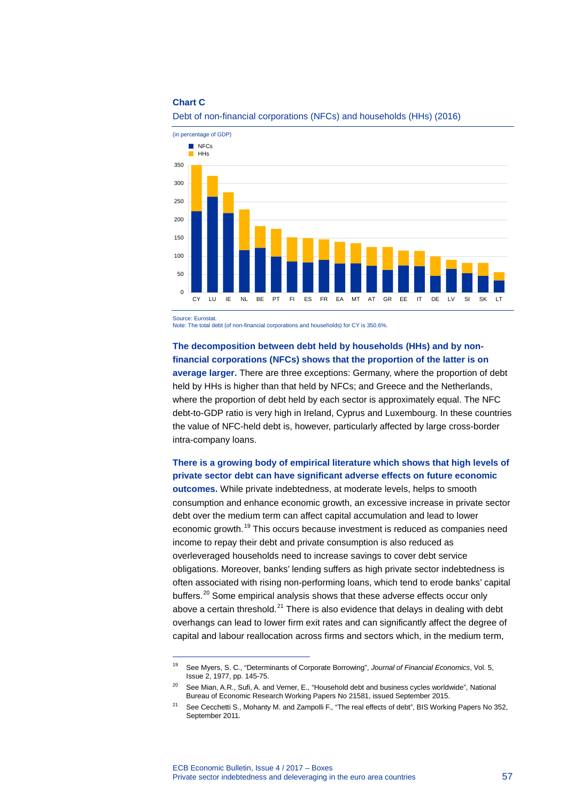#### **Chart C**





Source: Eurostat.

-

Note: The total debt (of non-financial corporations and households) for CY is 350.6%.

## **The decomposition between debt held by households (HHs) and by nonfinancial corporations (NFCs) shows that the proportion of the latter is on**

**average larger.** There are three exceptions: Germany, where the proportion of debt held by HHs is higher than that held by NFCs; and Greece and the Netherlands, where the proportion of debt held by each sector is approximately equal. The NFC debt-to-GDP ratio is very high in Ireland, Cyprus and Luxembourg. In these countries the value of NFC-held debt is, however, particularly affected by large cross-border intra-company loans.

## **There is a growing body of empirical literature which shows that high levels of private sector debt can have significant adverse effects on future economic**

**outcomes.** While private indebtedness, at moderate levels, helps to smooth consumption and enhance economic growth, an excessive increase in private sector debt over the medium term can affect capital accumulation and lead to lower economic growth.<sup>[19](#page-2-0)</sup> This occurs because investment is reduced as companies need income to repay their debt and private consumption is also reduced as overleveraged households need to increase savings to cover debt service obligations. Moreover, banks' lending suffers as high private sector indebtedness is often associated with rising non-performing loans, which tend to erode banks' capital buffers.<sup>[20](#page-2-1)</sup> Some empirical analysis shows that these adverse effects occur only above a certain threshold.<sup>[21](#page-2-2)</sup> There is also evidence that delays in dealing with debt overhangs can lead to lower firm exit rates and can significantly affect the degree of capital and labour reallocation across firms and sectors which, in the medium term,

<span id="page-2-0"></span><sup>19</sup> See Myers, S. C., "Determinants of Corporate Borrowing", *Journal of Financial Economics*, Vol. 5, Issue 2, 1977, pp. 145-75.

<span id="page-2-1"></span><sup>&</sup>lt;sup>20</sup> See Mian, A.R., Sufi, A. and Verner, E., "Household debt and business cycles worldwide", National Bureau of Economic Research Working Papers No 21581, issued September 2015.

<span id="page-2-2"></span><sup>&</sup>lt;sup>21</sup> See Cecchetti S., Mohanty M. and Zampolli F., "The real effects of debt", BIS Working Papers No 352, September 2011.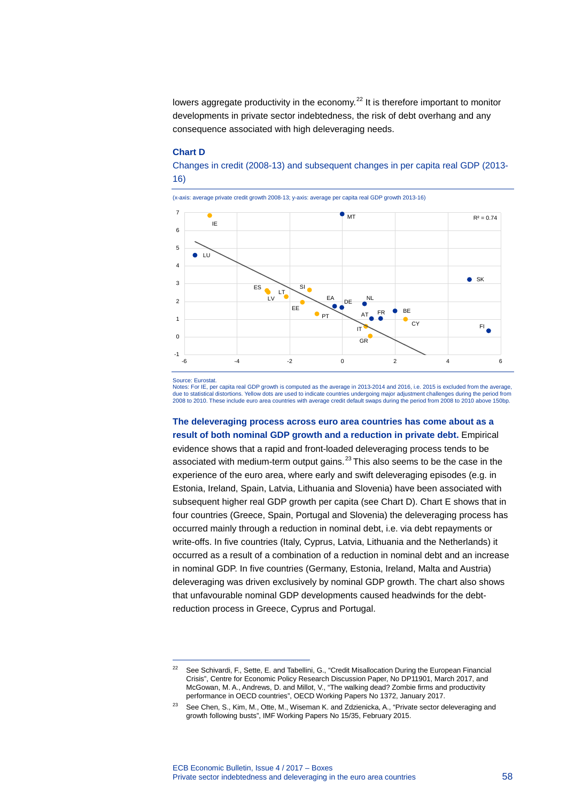lowers aggregate productivity in the economy.<sup>[22](#page-3-0)</sup> It is therefore important to monitor developments in private sector indebtedness, the risk of debt overhang and any consequence associated with high deleveraging needs.

#### **Chart D**

Changes in credit (2008-13) and subsequent changes in per capita real GDP (2013- 16)

(x-axis: average private credit growth 2008-13; y-axis: average per capita real GDP growth 2013-16)



Source: Eurostat.

-

Notes: For IE, per capita real GDP growth is computed as the average in 2013-2014 and 2016, i.e. 2015 is excluded from the average, due to statistical distortions. Yellow dots are used to indicate countries undergoing major adjustment challenges during the period from<br>2008 to 2010. These include euro area countries with average credit default swaps dur

**The deleveraging process across euro area countries has come about as a result of both nominal GDP growth and a reduction in private debt.** Empirical

evidence shows that a rapid and front-loaded deleveraging process tends to be associated with medium-term output gains.<sup>[23](#page-3-1)</sup> This also seems to be the case in the experience of the euro area, where early and swift deleveraging episodes (e.g. in Estonia, Ireland, Spain, Latvia, Lithuania and Slovenia) have been associated with subsequent higher real GDP growth per capita (see Chart D). Chart E shows that in four countries (Greece, Spain, Portugal and Slovenia) the deleveraging process has occurred mainly through a reduction in nominal debt, i.e. via debt repayments or write-offs. In five countries (Italy, Cyprus, Latvia, Lithuania and the Netherlands) it occurred as a result of a combination of a reduction in nominal debt and an increase in nominal GDP. In five countries (Germany, Estonia, Ireland, Malta and Austria) deleveraging was driven exclusively by nominal GDP growth. The chart also shows that unfavourable nominal GDP developments caused headwinds for the debtreduction process in Greece, Cyprus and Portugal.

<span id="page-3-0"></span><sup>&</sup>lt;sup>22</sup> See Schivardi, F., Sette, E. and Tabellini, G., "Credit Misallocation During the European Financial Crisis", Centre for Economic Policy Research Discussion Paper, No DP11901, March 2017, and McGowan, M. A., Andrews, D. and Millot, V., "The walking dead? Zombie firms and productivity performance in OECD countries", OECD Working Papers No 1372, January 2017.

<span id="page-3-1"></span><sup>&</sup>lt;sup>23</sup> See Chen, S., Kim, M., Otte, M., Wiseman K. and Zdzienicka, A., "Private sector deleveraging and growth following busts", IMF Working Papers No 15/35, February 2015.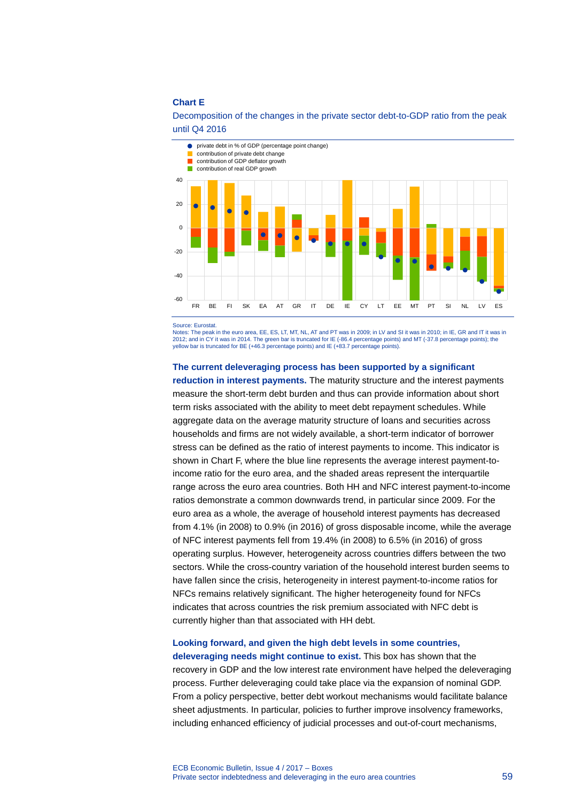## **Chart E**



## Decomposition of the changes in the private sector debt-to-GDP ratio from the peak until Q4 2016

Source: Eurosta

Notes: The peak in the euro area, EE, ES, LT, MT, NL, AT and PT was in 2009; in LV and SI it was in 2010; in IE, GR and IT it was in 2012; and in CY it was in 2014. The green bar is truncated for IE (-86.4 percentage points) and MT (-37.8 percentage points); the yellow bar is truncated for BE (+46.3 percentage points) and IE (+83.7 percentage points).

#### **The current deleveraging process has been supported by a significant**

**reduction in interest payments.** The maturity structure and the interest payments measure the short-term debt burden and thus can provide information about short term risks associated with the ability to meet debt repayment schedules. While aggregate data on the average maturity structure of loans and securities across households and firms are not widely available, a short-term indicator of borrower stress can be defined as the ratio of interest payments to income. This indicator is shown in Chart F, where the blue line represents the average interest payment-toincome ratio for the euro area, and the shaded areas represent the interquartile range across the euro area countries. Both HH and NFC interest payment-to-income ratios demonstrate a common downwards trend, in particular since 2009. For the euro area as a whole, the average of household interest payments has decreased from 4.1% (in 2008) to 0.9% (in 2016) of gross disposable income, while the average of NFC interest payments fell from 19.4% (in 2008) to 6.5% (in 2016) of gross operating surplus. However, heterogeneity across countries differs between the two sectors. While the cross-country variation of the household interest burden seems to have fallen since the crisis, heterogeneity in interest payment-to-income ratios for NFCs remains relatively significant. The higher heterogeneity found for NFCs indicates that across countries the risk premium associated with NFC debt is currently higher than that associated with HH debt.

## **Looking forward, and given the high debt levels in some countries,**

**deleveraging needs might continue to exist.** This box has shown that the recovery in GDP and the low interest rate environment have helped the deleveraging process. Further deleveraging could take place via the expansion of nominal GDP. From a policy perspective, better debt workout mechanisms would facilitate balance sheet adjustments. In particular, policies to further improve insolvency frameworks, including enhanced efficiency of judicial processes and out-of-court mechanisms,